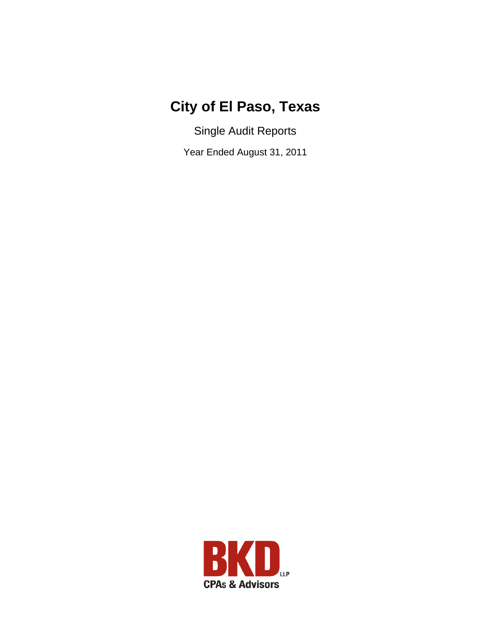# **City of El Paso, Texas**

Single Audit Reports

Year Ended August 31, 2011

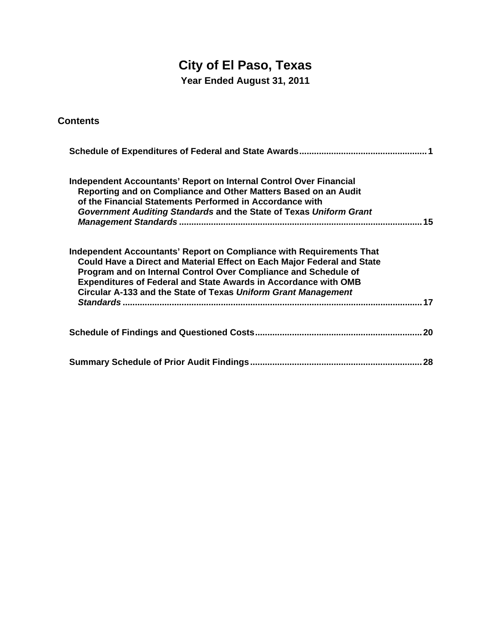# **City of El Paso, Texas**

**Year Ended August 31, 2011** 

| <b>Contents</b>                                                                                                                                                                                                                                                                                                                                                      |
|----------------------------------------------------------------------------------------------------------------------------------------------------------------------------------------------------------------------------------------------------------------------------------------------------------------------------------------------------------------------|
|                                                                                                                                                                                                                                                                                                                                                                      |
| <b>Independent Accountants' Report on Internal Control Over Financial</b><br>Reporting and on Compliance and Other Matters Based on an Audit<br>of the Financial Statements Performed in Accordance with<br>Government Auditing Standards and the State of Texas Uniform Grant                                                                                       |
| Independent Accountants' Report on Compliance with Requirements That<br>Could Have a Direct and Material Effect on Each Major Federal and State<br>Program and on Internal Control Over Compliance and Schedule of<br><b>Expenditures of Federal and State Awards in Accordance with OMB</b><br>Circular A-133 and the State of Texas Uniform Grant Management<br>17 |
| 20                                                                                                                                                                                                                                                                                                                                                                   |
|                                                                                                                                                                                                                                                                                                                                                                      |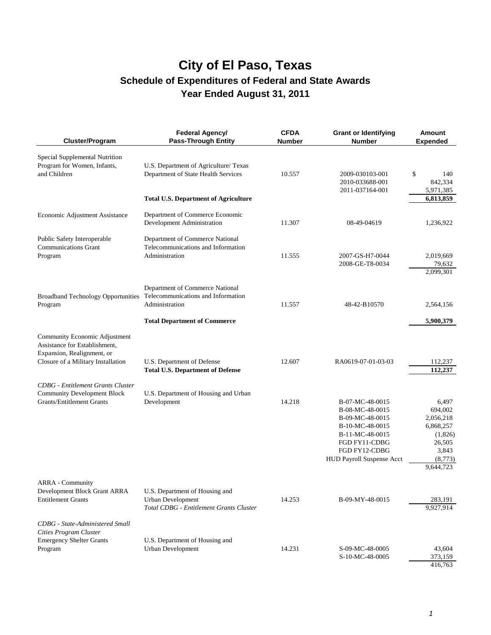| Cluster/Program                                                                                                                    | Federal Agency/<br><b>Pass-Through Entity</b>                                                  | <b>CFDA</b><br><b>Number</b> | <b>Grant or Identifying</b><br><b>Number</b>                                                                                                                      | Amount<br><b>Expended</b>                                                                        |
|------------------------------------------------------------------------------------------------------------------------------------|------------------------------------------------------------------------------------------------|------------------------------|-------------------------------------------------------------------------------------------------------------------------------------------------------------------|--------------------------------------------------------------------------------------------------|
| Special Supplemental Nutrition<br>Program for Women, Infants,<br>and Children                                                      | U.S. Department of Agriculture/ Texas<br>Department of State Health Services                   | 10.557                       | 2009-030103-001<br>2010-033688-001<br>2011-037164-001                                                                                                             | \$<br>140<br>842,334<br>5,971,385                                                                |
|                                                                                                                                    | <b>Total U.S. Department of Agriculture</b>                                                    |                              |                                                                                                                                                                   | 6,813,859                                                                                        |
| Economic Adjustment Assistance                                                                                                     | Department of Commerce Economic<br>Development Administration                                  | 11.307                       | 08-49-04619                                                                                                                                                       | 1,236,922                                                                                        |
| Public Safety Interoperable<br><b>Communications Grant</b><br>Program                                                              | Department of Commerce National<br>Telecommunications and Information<br>Administration        | 11.555                       | 2007-GS-H7-0044<br>2008-GE-T8-0034                                                                                                                                | 2,019,669<br>79,632<br>2,099,301                                                                 |
| <b>Broadband Technology Opportunities</b><br>Program                                                                               | Department of Commerce National<br>Telecommunications and Information<br>Administration        | 11.557                       | 48-42-B10570                                                                                                                                                      | 2,564,156                                                                                        |
|                                                                                                                                    | <b>Total Department of Commerce</b>                                                            |                              |                                                                                                                                                                   | 5,900,379                                                                                        |
| Community Economic Adjustment<br>Assistance for Establishment,<br>Expansion, Realignment, or<br>Closure of a Military Installation | U.S. Department of Defense                                                                     | 12.607                       | RA0619-07-01-03-03                                                                                                                                                | 112,237                                                                                          |
|                                                                                                                                    | <b>Total U.S. Department of Defense</b>                                                        |                              |                                                                                                                                                                   | 112,237                                                                                          |
| <b>CDBG</b> - Entitlement Grants Cluster<br><b>Community Development Block</b><br><b>Grants/Entitlement Grants</b>                 | U.S. Department of Housing and Urban<br>Development                                            | 14.218                       | B-07-MC-48-0015<br>B-08-MC-48-0015<br>B-09-MC-48-0015<br>B-10-MC-48-0015<br>B-11-MC-48-0015<br>FGD FY11-CDBG<br>FGD FY12-CDBG<br><b>HUD Payroll Suspense Acct</b> | 6,497<br>694,002<br>2,056,218<br>6,868,257<br>(1,826)<br>26,505<br>3,843<br>(8,773)<br>9,644,723 |
| ARRA - Community<br>Development Block Grant ARRA<br><b>Entitlement Grants</b>                                                      | U.S. Department of Housing and<br>Urban Development<br>Total CDBG - Entitlement Grants Cluster | 14.253                       | B-09-MY-48-0015                                                                                                                                                   | 283,191<br>9,927,914                                                                             |
| CDBG - State-Administered Small<br>Cities Program Cluster<br><b>Emergency Shelter Grants</b><br>Program                            | U.S. Department of Housing and<br>Urban Development                                            | 14.231                       | S-09-MC-48-0005<br>S-10-MC-48-0005                                                                                                                                | 43,604<br>373,159<br>416,763                                                                     |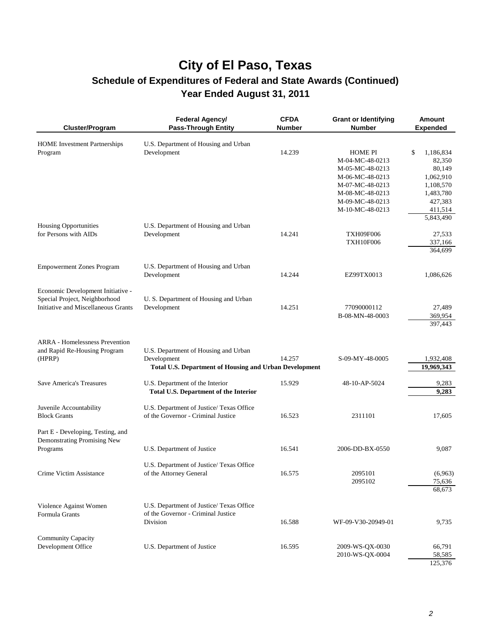| Cluster/Program                                                                                           | <b>Federal Agency/</b><br><b>Pass-Through Entity</b>                                                                 | <b>CFDA</b><br><b>Number</b> | <b>Grant or Identifying</b><br><b>Number</b>                                                                                                        | <b>Amount</b><br><b>Expended</b>                                                                 |
|-----------------------------------------------------------------------------------------------------------|----------------------------------------------------------------------------------------------------------------------|------------------------------|-----------------------------------------------------------------------------------------------------------------------------------------------------|--------------------------------------------------------------------------------------------------|
| <b>HOME</b> Investment Partnerships<br>Program                                                            | U.S. Department of Housing and Urban<br>Development                                                                  | 14.239                       | <b>HOME PI</b><br>M-04-MC-48-0213<br>M-05-MC-48-0213<br>M-06-MC-48-0213<br>M-07-MC-48-0213<br>M-08-MC-48-0213<br>M-09-MC-48-0213<br>M-10-MC-48-0213 | \$<br>1,186,834<br>82,350<br>80,149<br>1,062,910<br>1,108,570<br>1,483,780<br>427,383<br>411,514 |
| <b>Housing Opportunities</b><br>for Persons with AIDs                                                     | U.S. Department of Housing and Urban<br>Development                                                                  | 14.241                       | <b>TXH09F006</b><br><b>TXH10F006</b>                                                                                                                | 5,843,490<br>27,533<br>337,166<br>364,699                                                        |
| <b>Empowerment Zones Program</b>                                                                          | U.S. Department of Housing and Urban<br>Development                                                                  | 14.244                       | EZ99TX0013                                                                                                                                          | 1,086,626                                                                                        |
| Economic Development Initiative -<br>Special Project, Neighborhood<br>Initiative and Miscellaneous Grants | U.S. Department of Housing and Urban<br>Development                                                                  | 14.251                       | 77090000112<br>B-08-MN-48-0003                                                                                                                      | 27,489<br>369,954<br>397,443                                                                     |
| <b>ARRA</b> - Homelessness Prevention<br>and Rapid Re-Housing Program<br>(HPRP)                           | U.S. Department of Housing and Urban<br>Development<br><b>Total U.S. Department of Housing and Urban Development</b> | 14.257                       | S-09-MY-48-0005                                                                                                                                     | 1,932,408<br>19,969,343                                                                          |
| <b>Save America's Treasures</b>                                                                           | U.S. Department of the Interior<br><b>Total U.S. Department of the Interior</b>                                      | 15.929                       | 48-10-AP-5024                                                                                                                                       | 9,283<br>9,283                                                                                   |
| Juvenile Accountability<br><b>Block Grants</b>                                                            | U.S. Department of Justice/ Texas Office<br>of the Governor - Criminal Justice                                       | 16.523                       | 2311101                                                                                                                                             | 17,605                                                                                           |
| Part E - Developing, Testing, and<br>Demonstrating Promising New<br>Programs                              | U.S. Department of Justice                                                                                           | 16.541                       | 2006-DD-BX-0550                                                                                                                                     | 9,087                                                                                            |
| Crime Victim Assistance                                                                                   | U.S. Department of Justice/ Texas Office<br>of the Attorney General                                                  | 16.575                       | 2095101<br>2095102                                                                                                                                  | (6,963)<br>75,636<br>68,673                                                                      |
| Violence Against Women<br>Formula Grants                                                                  | U.S. Department of Justice/ Texas Office<br>of the Governor - Criminal Justice<br>Division                           | 16.588                       | WF-09-V30-20949-01                                                                                                                                  | 9,735                                                                                            |
| <b>Community Capacity</b><br>Development Office                                                           | U.S. Department of Justice                                                                                           | 16.595                       | 2009-WS-QX-0030<br>2010-WS-QX-0004                                                                                                                  | 66,791<br>58,585<br>125,376                                                                      |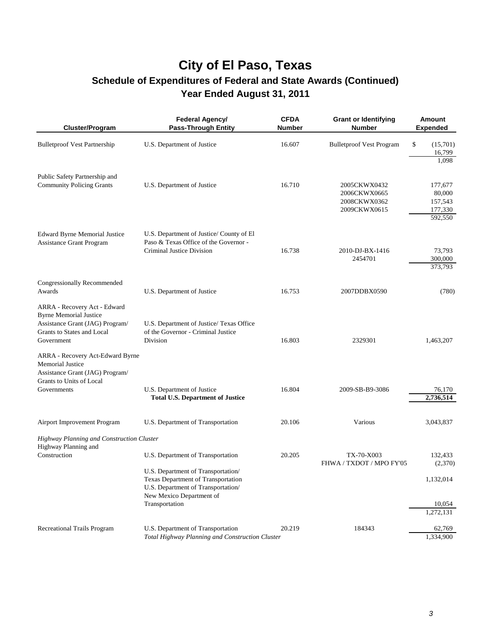| <b>Cluster/Program</b>                                                                                                                       | <b>Federal Agency/</b><br><b>Pass-Through Entity</b>                                                                                       | <b>CFDA</b><br><b>Number</b> | <b>Grant or Identifying</b><br><b>Number</b>                 | <b>Amount</b><br><b>Expended</b>                   |
|----------------------------------------------------------------------------------------------------------------------------------------------|--------------------------------------------------------------------------------------------------------------------------------------------|------------------------------|--------------------------------------------------------------|----------------------------------------------------|
| <b>Bulletproof Vest Partnership</b>                                                                                                          | U.S. Department of Justice                                                                                                                 | 16.607                       | <b>Bulletproof Vest Program</b>                              | \$<br>(15,701)<br>16,799<br>1,098                  |
| Public Safety Partnership and<br><b>Community Policing Grants</b>                                                                            | U.S. Department of Justice                                                                                                                 | 16.710                       | 2005CKWX0432<br>2006CKWX0665<br>2008CKWX0362<br>2009CKWX0615 | 177,677<br>80,000<br>157,543<br>177,330<br>592,550 |
| <b>Edward Byrne Memorial Justice</b><br><b>Assistance Grant Program</b>                                                                      | U.S. Department of Justice/County of El<br>Paso & Texas Office of the Governor -<br>Criminal Justice Division                              | 16.738                       | 2010-DJ-BX-1416<br>2454701                                   | 73,793<br>300,000<br>373,793                       |
| Congressionally Recommended<br>Awards                                                                                                        | U.S. Department of Justice                                                                                                                 | 16.753                       | 2007DDBX0590                                                 | (780)                                              |
| ARRA - Recovery Act - Edward<br><b>Byrne Memorial Justice</b><br>Assistance Grant (JAG) Program/<br>Grants to States and Local<br>Government | U.S. Department of Justice/ Texas Office<br>of the Governor - Criminal Justice<br>Division                                                 | 16.803                       | 2329301                                                      | 1,463,207                                          |
| ARRA - Recovery Act-Edward Byrne<br><b>Memorial Justice</b><br>Assistance Grant (JAG) Program/<br>Grants to Units of Local<br>Governments    | U.S. Department of Justice<br><b>Total U.S. Department of Justice</b>                                                                      | 16.804                       | 2009-SB-B9-3086                                              | 76,170<br>2,736,514                                |
| Airport Improvement Program                                                                                                                  | U.S. Department of Transportation                                                                                                          | 20.106                       | Various                                                      | 3,043,837                                          |
| Highway Planning and Construction Cluster<br>Highway Planning and<br>Construction                                                            | U.S. Department of Transportation                                                                                                          | 20.205                       | TX-70-X003                                                   | 132,433                                            |
|                                                                                                                                              | U.S. Department of Transportation/<br>Texas Department of Transportation<br>U.S. Department of Transportation/<br>New Mexico Department of |                              | FHWA / TXDOT / MPO FY'05                                     | (2,370)<br>1,132,014                               |
|                                                                                                                                              | Transportation                                                                                                                             |                              |                                                              | 10,054<br>1,272,131                                |
| <b>Recreational Trails Program</b>                                                                                                           | U.S. Department of Transportation<br>Total Highway Planning and Construction Cluster                                                       | 20.219                       | 184343                                                       | 62,769<br>1,334,900                                |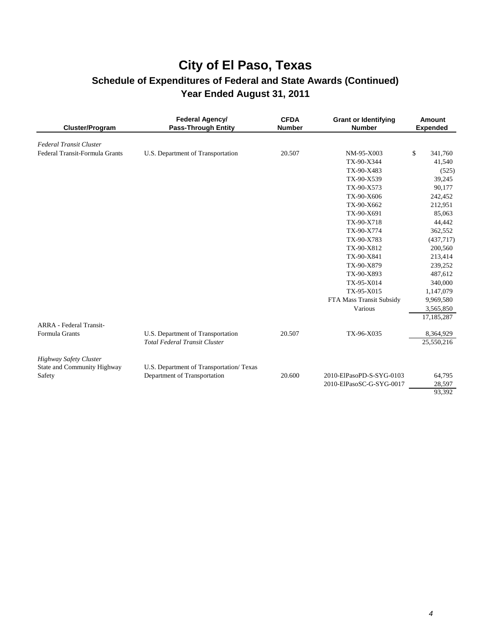| Cluster/Program                                              | Federal Agency/<br><b>Pass-Through Entity</b>                             | <b>CFDA</b><br><b>Number</b> | <b>Grant or Identifying</b><br><b>Number</b> | <b>Amount</b><br><b>Expended</b> |
|--------------------------------------------------------------|---------------------------------------------------------------------------|------------------------------|----------------------------------------------|----------------------------------|
| <b>Federal Transit Cluster</b>                               |                                                                           |                              |                                              |                                  |
| Federal Transit-Formula Grants                               | U.S. Department of Transportation                                         | 20.507                       | NM-95-X003                                   | \$<br>341,760                    |
|                                                              |                                                                           |                              | TX-90-X344                                   | 41,540                           |
|                                                              |                                                                           |                              | TX-90-X483                                   | (525)                            |
|                                                              |                                                                           |                              | TX-90-X539                                   | 39,245                           |
|                                                              |                                                                           |                              | TX-90-X573                                   | 90,177                           |
|                                                              |                                                                           |                              | TX-90-X606                                   | 242,452                          |
|                                                              |                                                                           |                              | TX-90-X662                                   | 212,951                          |
|                                                              |                                                                           |                              | TX-90-X691                                   | 85,063                           |
|                                                              |                                                                           |                              | TX-90-X718                                   | 44,442                           |
|                                                              |                                                                           |                              | TX-90-X774                                   | 362,552                          |
|                                                              |                                                                           |                              | TX-90-X783                                   | (437,717)                        |
|                                                              |                                                                           |                              | TX-90-X812                                   | 200,560                          |
|                                                              |                                                                           |                              | TX-90-X841                                   | 213,414                          |
|                                                              |                                                                           |                              | TX-90-X879                                   | 239,252                          |
|                                                              |                                                                           |                              | TX-90-X893                                   | 487,612                          |
|                                                              |                                                                           |                              | TX-95-X014                                   | 340,000                          |
|                                                              |                                                                           |                              | TX-95-X015                                   | 1,147,079                        |
|                                                              |                                                                           |                              | FTA Mass Transit Subsidy                     | 9,969,580                        |
|                                                              |                                                                           |                              | Various                                      | 3,565,850                        |
|                                                              |                                                                           |                              |                                              | 17,185,287                       |
| <b>ARRA</b> - Federal Transit-                               |                                                                           |                              |                                              |                                  |
| Formula Grants                                               | U.S. Department of Transportation<br><b>Total Federal Transit Cluster</b> | 20.507                       | TX-96-X035                                   | 8,364,929<br>25,550,216          |
| <b>Highway Safety Cluster</b><br>State and Community Highway | U.S. Department of Transportation/ Texas                                  |                              |                                              |                                  |
| Safety                                                       | Department of Transportation                                              | 20.600                       | 2010-ElPasoPD-S-SYG-0103                     | 64,795                           |
|                                                              |                                                                           |                              | 2010-ElPasoSC-G-SYG-0017                     | 28,597                           |
|                                                              |                                                                           |                              |                                              | 93,392                           |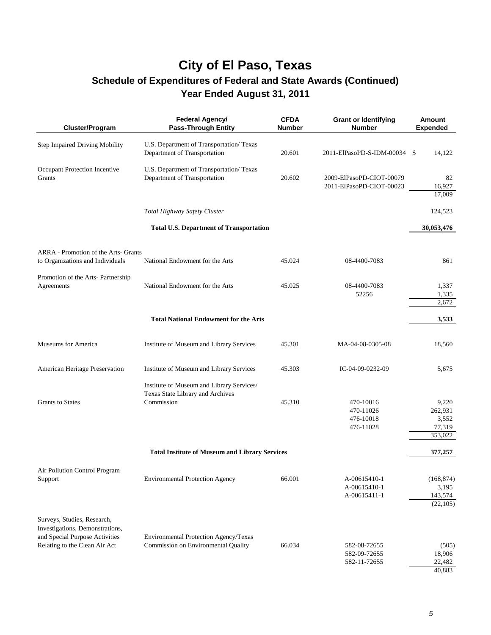| Cluster/Program                                                                                                                   | <b>Federal Agency/</b><br><b>Pass-Through Entity</b>                                        | <b>CFDA</b><br><b>Number</b> | <b>Grant or Identifying</b><br><b>Number</b>         | <b>Amount</b><br><b>Expended</b>               |
|-----------------------------------------------------------------------------------------------------------------------------------|---------------------------------------------------------------------------------------------|------------------------------|------------------------------------------------------|------------------------------------------------|
| Step Impaired Driving Mobility                                                                                                    | U.S. Department of Transportation/ Texas<br>Department of Transportation                    | 20.601                       | 2011-ElPasoPD-S-IDM-00034 \$                         | 14,122                                         |
| Occupant Protection Incentive<br>Grants                                                                                           | U.S. Department of Transportation/ Texas<br>Department of Transportation                    | 20.602                       | 2009-ElPasoPD-CIOT-00079<br>2011-ElPasoPD-CIOT-00023 | 82<br>16,927<br>17,009                         |
|                                                                                                                                   | Total Highway Safety Cluster                                                                |                              |                                                      | 124,523                                        |
|                                                                                                                                   | <b>Total U.S. Department of Transportation</b>                                              |                              |                                                      | 30,053,476                                     |
| ARRA - Promotion of the Arts- Grants<br>to Organizations and Individuals                                                          | National Endowment for the Arts                                                             | 45.024                       | 08-4400-7083                                         | 861                                            |
| Promotion of the Arts- Partnership<br>Agreements                                                                                  | National Endowment for the Arts                                                             | 45.025                       | 08-4400-7083<br>52256                                | 1,337<br>1,335<br>2,672                        |
|                                                                                                                                   | <b>Total National Endowment for the Arts</b>                                                |                              |                                                      | 3,533                                          |
|                                                                                                                                   |                                                                                             |                              |                                                      |                                                |
| <b>Museums for America</b>                                                                                                        | Institute of Museum and Library Services                                                    | 45.301                       | MA-04-08-0305-08                                     | 18,560                                         |
| American Heritage Preservation                                                                                                    | Institute of Museum and Library Services                                                    | 45.303                       | IC-04-09-0232-09                                     | 5,675                                          |
| <b>Grants</b> to States                                                                                                           | Institute of Museum and Library Services/<br>Texas State Library and Archives<br>Commission | 45.310                       | 470-10016<br>470-11026<br>476-10018<br>476-11028     | 9,220<br>262,931<br>3,552<br>77,319<br>353,022 |
|                                                                                                                                   | <b>Total Institute of Museum and Library Services</b>                                       |                              |                                                      | 377,257                                        |
| Air Pollution Control Program<br>Support                                                                                          | <b>Environmental Protection Agency</b>                                                      | 66.001                       | A-00615410-1<br>A-00615410-1<br>A-00615411-1         | (168, 874)<br>3,195<br>143,574<br>(22, 105)    |
| Surveys, Studies, Research,<br>Investigations, Demonstrations,<br>and Special Purpose Activities<br>Relating to the Clean Air Act | Environmental Protection Agency/Texas<br>Commission on Environmental Quality                | 66.034                       | 582-08-72655<br>582-09-72655<br>582-11-72655         | (505)<br>18,906<br>22,482<br>40,883            |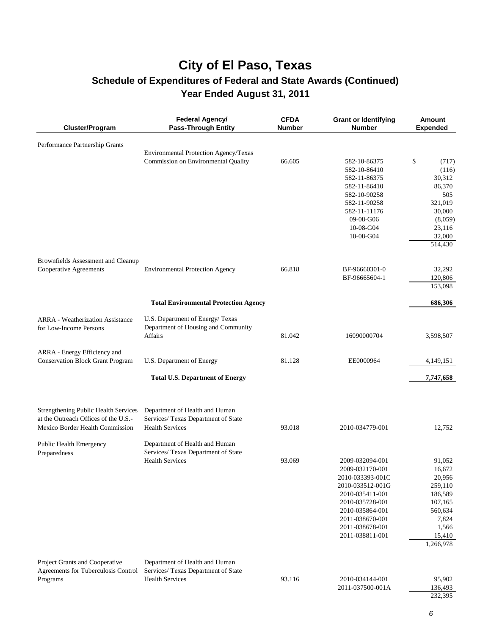| Cluster/Program                         | Federal Agency/<br><b>Pass-Through Entity</b> | <b>CFDA</b><br><b>Number</b> | <b>Grant or Identifying</b><br><b>Number</b> | <b>Amount</b><br><b>Expended</b> |
|-----------------------------------------|-----------------------------------------------|------------------------------|----------------------------------------------|----------------------------------|
| Performance Partnership Grants          |                                               |                              |                                              |                                  |
|                                         | Environmental Protection Agency/Texas         |                              |                                              |                                  |
|                                         | Commission on Environmental Quality           | 66.605                       | 582-10-86375                                 | \$<br>(717)                      |
|                                         |                                               |                              | 582-10-86410                                 | (116)                            |
|                                         |                                               |                              | 582-11-86375                                 | 30,312                           |
|                                         |                                               |                              | 582-11-86410                                 | 86,370                           |
|                                         |                                               |                              | 582-10-90258                                 | 505<br>321,019                   |
|                                         |                                               |                              | 582-11-90258<br>582-11-11176                 | 30,000                           |
|                                         |                                               |                              | 09-08-G06                                    | (8,059)                          |
|                                         |                                               |                              | 10-08-G04                                    | 23,116                           |
|                                         |                                               |                              | 10-08-G04                                    | 32,000                           |
|                                         |                                               |                              |                                              | 514,430                          |
| Brownfields Assessment and Cleanup      |                                               |                              |                                              |                                  |
| Cooperative Agreements                  | <b>Environmental Protection Agency</b>        | 66.818                       | BF-96660301-0                                | 32,292                           |
|                                         |                                               |                              | BF-96665604-1                                | 120,806                          |
|                                         |                                               |                              |                                              | 153,098                          |
|                                         | <b>Total Environmental Protection Agency</b>  |                              |                                              | 686,306                          |
| <b>ARRA</b> - Weatherization Assistance | U.S. Department of Energy/ Texas              |                              |                                              |                                  |
| for Low-Income Persons                  | Department of Housing and Community           |                              |                                              |                                  |
|                                         | Affairs                                       | 81.042                       | 16090000704                                  | 3,598,507                        |
| ARRA - Energy Efficiency and            |                                               |                              |                                              |                                  |
| <b>Conservation Block Grant Program</b> | U.S. Department of Energy                     | 81.128                       | EE0000964                                    | 4,149,151                        |
|                                         | <b>Total U.S. Department of Energy</b>        |                              |                                              | 7,747,658                        |
|                                         |                                               |                              |                                              |                                  |
| Strengthening Public Health Services    | Department of Health and Human                |                              |                                              |                                  |
| at the Outreach Offices of the U.S.-    | Services/ Texas Department of State           |                              |                                              |                                  |
| Mexico Border Health Commission         | <b>Health Services</b>                        | 93.018                       | 2010-034779-001                              | 12,752                           |
| Public Health Emergency                 | Department of Health and Human                |                              |                                              |                                  |
| Preparedness                            | Services/ Texas Department of State           |                              |                                              |                                  |
|                                         | <b>Health Services</b>                        | 93.069                       | 2009-032094-001                              | 91,052                           |
|                                         |                                               |                              | 2009-032170-001                              | 16,672                           |
|                                         |                                               |                              | 2010-033393-001C                             | 20,956                           |
|                                         |                                               |                              | 2010-033512-001G                             | 259,110                          |
|                                         |                                               |                              | 2010-035411-001                              | 186,589                          |
|                                         |                                               |                              | 2010-035728-001                              | 107,165                          |
|                                         |                                               |                              | 2010-035864-001                              | 560,634                          |
|                                         |                                               |                              | 2011-038670-001<br>2011-038678-001           | 7,824                            |
|                                         |                                               |                              | 2011-038811-001                              | 1,566<br>15,410                  |
|                                         |                                               |                              |                                              | 1,266,978                        |
| Project Grants and Cooperative          | Department of Health and Human                |                              |                                              |                                  |
| Agreements for Tuberculosis Control     | Services/ Texas Department of State           |                              |                                              |                                  |
| Programs                                | <b>Health Services</b>                        | 93.116                       | 2010-034144-001                              | 95,902                           |
|                                         |                                               |                              | 2011-037500-001A                             | 136,493                          |
|                                         |                                               |                              |                                              | 232,395                          |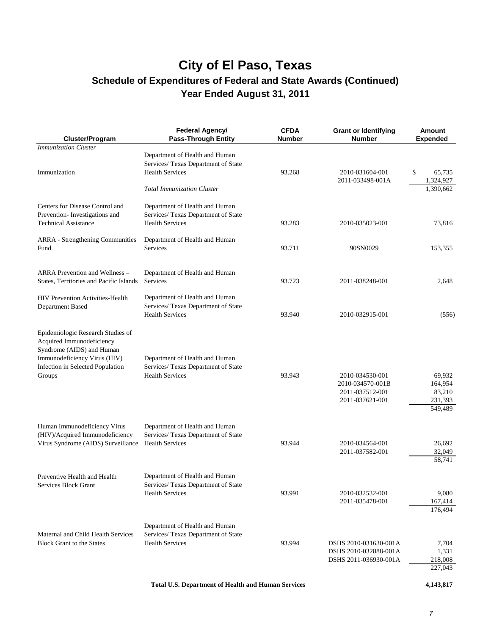| Cluster/Program                                                                                                                                                           | Federal Agency/<br><b>Pass-Through Entity</b>                                                   | <b>CFDA</b><br>Number | <b>Grant or Identifying</b><br><b>Number</b>                              | <b>Amount</b><br><b>Expended</b>                  |
|---------------------------------------------------------------------------------------------------------------------------------------------------------------------------|-------------------------------------------------------------------------------------------------|-----------------------|---------------------------------------------------------------------------|---------------------------------------------------|
| <b>Immunization Cluster</b>                                                                                                                                               |                                                                                                 |                       |                                                                           |                                                   |
| Immunization                                                                                                                                                              | Department of Health and Human<br>Services/ Texas Department of State<br><b>Health Services</b> | 93.268                | 2010-031604-001<br>2011-033498-001A                                       | \$<br>65,735<br>1,324,927                         |
|                                                                                                                                                                           | <b>Total Immunization Cluster</b>                                                               |                       |                                                                           | 1,390,662                                         |
| Centers for Disease Control and<br>Prevention-Investigations and<br><b>Technical Assistance</b>                                                                           | Department of Health and Human<br>Services/ Texas Department of State<br><b>Health Services</b> | 93.283                | 2010-035023-001                                                           | 73,816                                            |
| <b>ARRA</b> - Strengthening Communities<br>Fund                                                                                                                           | Department of Health and Human<br>Services                                                      | 93.711                | 90SN0029                                                                  | 153,355                                           |
| <b>ARRA Prevention and Wellness -</b><br>States, Territories and Pacific Islands                                                                                          | Department of Health and Human<br>Services                                                      | 93.723                | 2011-038248-001                                                           | 2,648                                             |
| <b>HIV Prevention Activities-Health</b><br>Department Based                                                                                                               | Department of Health and Human<br>Services/ Texas Department of State<br><b>Health Services</b> | 93.940                | 2010-032915-001                                                           | (556)                                             |
| Epidemiologic Research Studies of<br>Acquired Immunodeficiency<br>Syndrome (AIDS) and Human<br>Immunodeficiency Virus (HIV)<br>Infection in Selected Population<br>Groups | Department of Health and Human<br>Services/ Texas Department of State<br><b>Health Services</b> | 93.943                | 2010-034530-001<br>2010-034570-001B<br>2011-037512-001<br>2011-037621-001 | 69,932<br>164,954<br>83,210<br>231,393<br>549,489 |
| Human Immunodeficiency Virus<br>(HIV)/Acquired Immunodeficiency<br>Virus Syndrome (AIDS) Surveillance                                                                     | Department of Health and Human<br>Services/ Texas Department of State<br><b>Health Services</b> | 93.944                | 2010-034564-001<br>2011-037582-001                                        | 26,692<br>32,049<br>58,741                        |
| Preventive Health and Health<br>Services Block Grant                                                                                                                      | Department of Health and Human<br>Services/ Texas Department of State<br><b>Health Services</b> | 93.991                | 2010-032532-001<br>2011-035478-001                                        | 9,080<br>167,414<br>176,494                       |
| Maternal and Child Health Services<br><b>Block Grant to the States</b>                                                                                                    | Department of Health and Human<br>Services/ Texas Department of State<br><b>Health Services</b> | 93.994                | DSHS 2010-031630-001A<br>DSHS 2010-032888-001A<br>DSHS 2011-036930-001A   | 7,704<br>1,331<br>218,008<br>227,043              |
|                                                                                                                                                                           |                                                                                                 |                       |                                                                           |                                                   |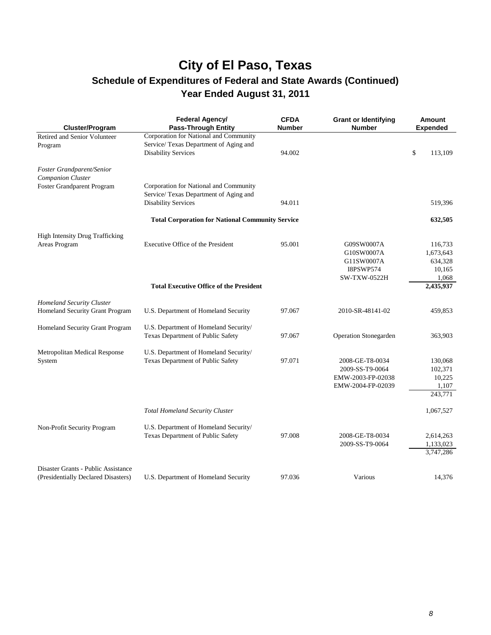# **City of El Paso, Texas**

### **Schedule of Expenditures of Federal and State Awards (Continued) Year Ended August 31, 2011**

| Cluster/Program                                                            | Federal Agency/<br><b>Pass-Through Entity</b>                                                                  | <b>CFDA</b><br><b>Number</b> | <b>Grant or Identifying</b><br><b>Number</b>                                      | Amount<br>Expended                                 |
|----------------------------------------------------------------------------|----------------------------------------------------------------------------------------------------------------|------------------------------|-----------------------------------------------------------------------------------|----------------------------------------------------|
| Retired and Senior Volunteer<br>Program                                    | Corporation for National and Community<br>Service/ Texas Department of Aging and<br><b>Disability Services</b> | 94.002                       |                                                                                   | \$<br>113,109                                      |
| <b>Foster Grandparent/Senior</b><br>Companion Cluster                      |                                                                                                                |                              |                                                                                   |                                                    |
| <b>Foster Grandparent Program</b>                                          | Corporation for National and Community<br>Service/ Texas Department of Aging and<br><b>Disability Services</b> | 94.011                       |                                                                                   | 519,396                                            |
|                                                                            | <b>Total Corporation for National Community Service</b>                                                        |                              |                                                                                   | 632,505                                            |
| <b>High Intensity Drug Trafficking</b>                                     |                                                                                                                |                              |                                                                                   |                                                    |
| Areas Program                                                              | Executive Office of the President                                                                              | 95.001                       | G09SW0007A<br>G10SW0007A<br>G11SW0007A<br><b>I8PSWP574</b><br><b>SW-TXW-0522H</b> | 116,733<br>1,673,643<br>634,328<br>10,165<br>1,068 |
|                                                                            | <b>Total Executive Office of the President</b>                                                                 |                              |                                                                                   | 2,435,937                                          |
| Homeland Security Cluster<br>Homeland Security Grant Program               | U.S. Department of Homeland Security                                                                           | 97.067                       | 2010-SR-48141-02                                                                  | 459,853                                            |
| Homeland Security Grant Program                                            | U.S. Department of Homeland Security/<br>Texas Department of Public Safety                                     | 97.067                       | <b>Operation Stonegarden</b>                                                      | 363,903                                            |
| Metropolitan Medical Response<br>System                                    | U.S. Department of Homeland Security/<br>Texas Department of Public Safety                                     | 97.071                       | 2008-GE-T8-0034<br>2009-SS-T9-0064<br>EMW-2003-FP-02038<br>EMW-2004-FP-02039      | 130,068<br>102,371<br>10,225<br>1,107<br>243,771   |
|                                                                            | <b>Total Homeland Security Cluster</b>                                                                         |                              |                                                                                   | 1,067,527                                          |
| Non-Profit Security Program                                                | U.S. Department of Homeland Security/<br><b>Texas Department of Public Safety</b>                              | 97.008                       | 2008-GE-T8-0034<br>2009-SS-T9-0064                                                | 2,614,263<br>1,133,023<br>3,747,286                |
| Disaster Grants - Public Assistance<br>(Presidentially Declared Disasters) | U.S. Department of Homeland Security                                                                           | 97.036                       | Various                                                                           | 14,376                                             |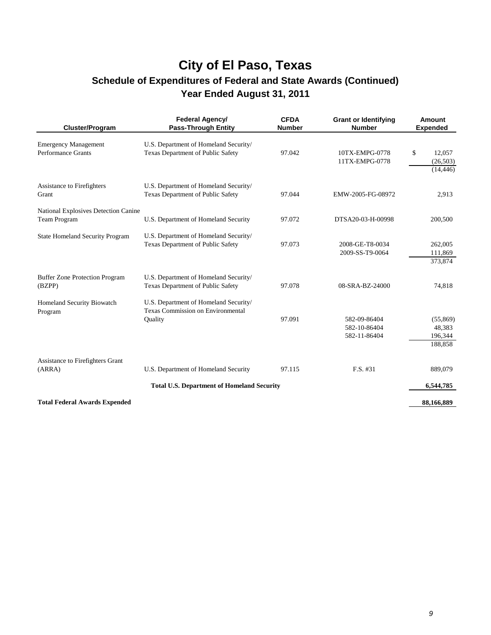# **City of El Paso, Texas**

### **Schedule of Expenditures of Federal and State Awards (Continued) Year Ended August 31, 2011**

| <b>Cluster/Program</b>                                   | Federal Agency/<br><b>Pass-Through Entity</b>                                                | <b>CFDA</b><br><b>Number</b> | <b>Grant or Identifying</b><br><b>Number</b> | Amount<br><b>Expended</b>                |
|----------------------------------------------------------|----------------------------------------------------------------------------------------------|------------------------------|----------------------------------------------|------------------------------------------|
| <b>Emergency Management</b><br><b>Performance Grants</b> | U.S. Department of Homeland Security/<br>Texas Department of Public Safety                   | 97.042                       | 10TX-EMPG-0778<br>11TX-EMPG-0778             | \$<br>12,057<br>(26, 503)<br>(14, 446)   |
| Assistance to Firefighters<br>Grant                      | U.S. Department of Homeland Security/<br>Texas Department of Public Safety                   | 97.044                       | EMW-2005-FG-08972                            | 2,913                                    |
| National Explosives Detection Canine<br>Team Program     | U.S. Department of Homeland Security                                                         | 97.072                       | DTSA20-03-H-00998                            | 200,500                                  |
| <b>State Homeland Security Program</b>                   | U.S. Department of Homeland Security/<br>Texas Department of Public Safety                   | 97.073                       | 2008-GE-T8-0034<br>2009-SS-T9-0064           | 262,005<br>111,869<br>373,874            |
| <b>Buffer Zone Protection Program</b><br>(BZPP)          | U.S. Department of Homeland Security/<br>Texas Department of Public Safety                   | 97.078                       | 08-SRA-BZ-24000                              | 74,818                                   |
| Homeland Security Biowatch<br>Program                    | U.S. Department of Homeland Security/<br><b>Texas Commission on Environmental</b><br>Quality | 97.091                       | 582-09-86404<br>582-10-86404<br>582-11-86404 | (55,869)<br>48,383<br>196,344<br>188,858 |
| Assistance to Firefighters Grant<br>(ARRA)               | U.S. Department of Homeland Security                                                         | 97.115                       | $F.S.$ #31                                   | 889,079                                  |
|                                                          | <b>Total U.S. Department of Homeland Security</b>                                            |                              |                                              | 6,544,785                                |
| <b>Total Federal Awards Expended</b>                     |                                                                                              |                              |                                              | 88,166,889                               |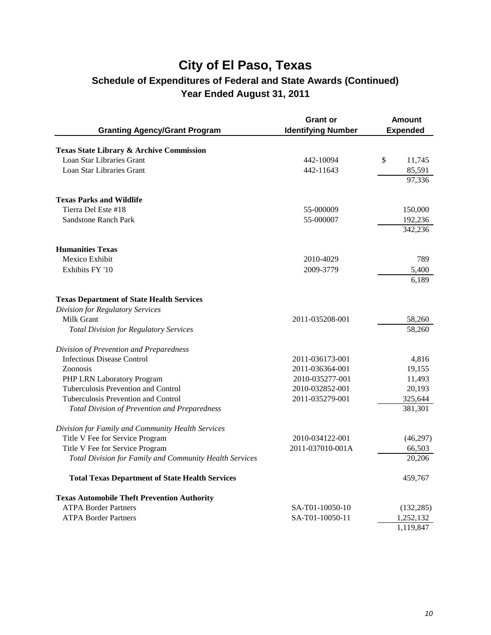|                                                         | <b>Grant or</b>           | <b>Amount</b>   |
|---------------------------------------------------------|---------------------------|-----------------|
| <b>Granting Agency/Grant Program</b>                    | <b>Identifying Number</b> | <b>Expended</b> |
| Texas State Library & Archive Commission                |                           |                 |
| Loan Star Libraries Grant                               | 442-10094                 | \$<br>11,745    |
| Loan Star Libraries Grant                               | 442-11643                 | 85,591          |
|                                                         |                           | 97,336          |
| <b>Texas Parks and Wildlife</b>                         |                           |                 |
| Tierra Del Este #18                                     | 55-000009                 | 150,000         |
| <b>Sandstone Ranch Park</b>                             | 55-000007                 | 192,236         |
|                                                         |                           | 342,236         |
| <b>Humanities Texas</b>                                 |                           |                 |
| Mexico Exhibit                                          | 2010-4029                 | 789             |
| Exhibits FY '10                                         | 2009-3779                 | 5,400           |
|                                                         |                           | 6,189           |
| <b>Texas Department of State Health Services</b>        |                           |                 |
| <b>Division for Regulatory Services</b>                 |                           |                 |
| Milk Grant                                              | 2011-035208-001           | 58,260          |
| <b>Total Division for Regulatory Services</b>           |                           | 58,260          |
| Division of Prevention and Preparedness                 |                           |                 |
| <b>Infectious Disease Control</b>                       | 2011-036173-001           | 4,816           |
| Zoonosis                                                | 2011-036364-001           | 19,155          |
| PHP LRN Laboratory Program                              | 2010-035277-001           | 11,493          |
| Tuberculosis Prevention and Control                     | 2010-032852-001           | 20,193          |
| Tuberculosis Prevention and Control                     | 2011-035279-001           | 325,644         |
| <b>Total Division of Prevention and Preparedness</b>    |                           | 381,301         |
| Division for Family and Community Health Services       |                           |                 |
| Title V Fee for Service Program                         | 2010-034122-001           | (46,297)        |
| Title V Fee for Service Program                         | 2011-037010-001A          | 66,503          |
| Total Division for Family and Community Health Services |                           | 20,206          |
| <b>Total Texas Department of State Health Services</b>  |                           | 459,767         |
| <b>Texas Automobile Theft Prevention Authority</b>      |                           |                 |
| <b>ATPA Border Partners</b>                             | SA-T01-10050-10           | (132, 285)      |
| <b>ATPA Border Partners</b>                             | SA-T01-10050-11           | 1,252,132       |
|                                                         |                           | 1,119,847       |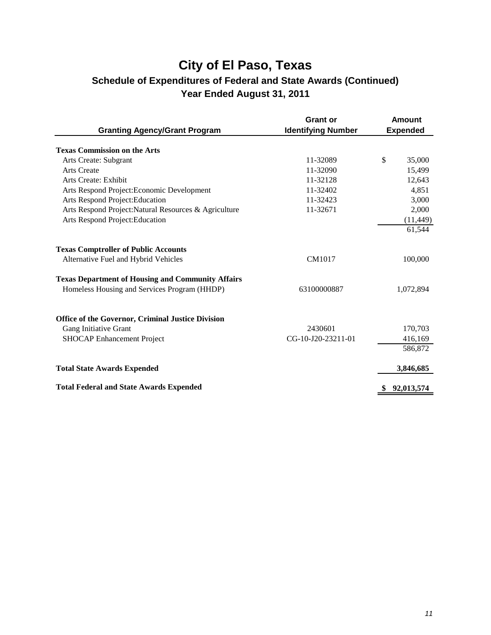|                                                          | <b>Grant or</b>           | Amount          |
|----------------------------------------------------------|---------------------------|-----------------|
| <b>Granting Agency/Grant Program</b>                     | <b>Identifying Number</b> | <b>Expended</b> |
| <b>Texas Commission on the Arts</b>                      |                           |                 |
| Arts Create: Subgrant                                    | 11-32089                  | \$<br>35,000    |
| <b>Arts Create</b>                                       | 11-32090                  | 15,499          |
| Arts Create: Exhibit                                     | 11-32128                  | 12,643          |
| Arts Respond Project: Economic Development               | 11-32402                  | 4,851           |
| Arts Respond Project: Education                          | 11-32423                  | 3,000           |
| Arts Respond Project: Natural Resources & Agriculture    | 11-32671                  | 2,000           |
| Arts Respond Project: Education                          |                           | (11, 449)       |
|                                                          |                           | 61,544          |
| <b>Texas Comptroller of Public Accounts</b>              |                           |                 |
| Alternative Fuel and Hybrid Vehicles                     | CM1017                    | 100,000         |
| <b>Texas Department of Housing and Community Affairs</b> |                           |                 |
| Homeless Housing and Services Program (HHDP)             | 63100000887               | 1,072,894       |
|                                                          |                           |                 |
| <b>Office of the Governor, Criminal Justice Division</b> |                           |                 |
| Gang Initiative Grant                                    | 2430601                   | 170,703         |
| <b>SHOCAP Enhancement Project</b>                        | CG-10-J20-23211-01        | 416,169         |
|                                                          |                           | 586,872         |
| <b>Total State Awards Expended</b>                       |                           | 3,846,685       |
| <b>Total Federal and State Awards Expended</b>           |                           | 92,013,574      |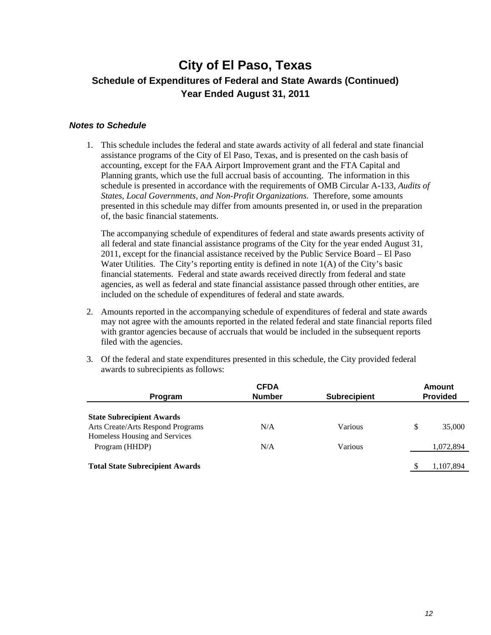#### *Notes to Schedule*

1. This schedule includes the federal and state awards activity of all federal and state financial assistance programs of the City of El Paso, Texas, and is presented on the cash basis of accounting, except for the FAA Airport Improvement grant and the FTA Capital and Planning grants, which use the full accrual basis of accounting. The information in this schedule is presented in accordance with the requirements of OMB Circular A-133, *Audits of States, Local Governments, and Non-Profit Organizations*. Therefore, some amounts presented in this schedule may differ from amounts presented in, or used in the preparation of, the basic financial statements.

The accompanying schedule of expenditures of federal and state awards presents activity of all federal and state financial assistance programs of the City for the year ended August 31, 2011, except for the financial assistance received by the Public Service Board – El Paso Water Utilities. The City's reporting entity is defined in note  $1(A)$  of the City's basic financial statements. Federal and state awards received directly from federal and state agencies, as well as federal and state financial assistance passed through other entities, are included on the schedule of expenditures of federal and state awards.

- 2. Amounts reported in the accompanying schedule of expenditures of federal and state awards may not agree with the amounts reported in the related federal and state financial reports filed with grantor agencies because of accruals that would be included in the subsequent reports filed with the agencies.
- 3. Of the federal and state expenditures presented in this schedule, the City provided federal awards to subrecipients as follows:

|                                                        | <b>CFDA</b> |                 | Amount       |
|--------------------------------------------------------|-------------|-----------------|--------------|
| <b>Subrecipient</b><br><b>Number</b><br><b>Program</b> |             | <b>Provided</b> |              |
| <b>State Subrecipient Awards</b>                       |             |                 |              |
| Arts Create/Arts Respond Programs                      | N/A         | Various         | \$<br>35,000 |
| Homeless Housing and Services                          |             |                 |              |
| Program (HHDP)                                         | N/A         | Various         | 1,072,894    |
|                                                        |             |                 |              |
| <b>Total State Subrecipient Awards</b>                 |             |                 | 1,107,894    |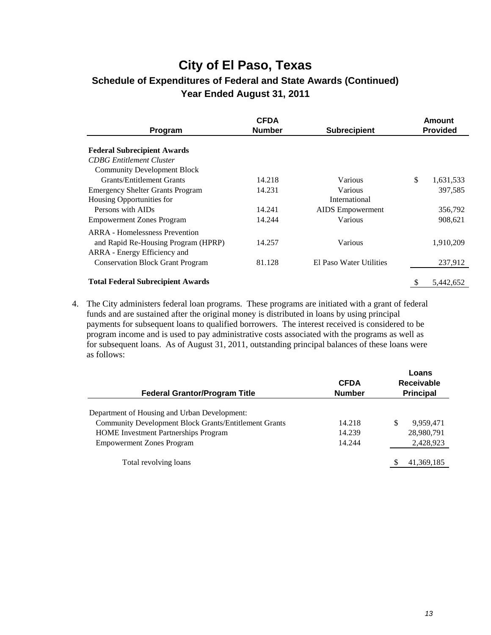| Program                                  | <b>CFDA</b><br><b>Number</b> | <b>Subrecipient</b>     |              | <b>Amount</b><br><b>Provided</b> |
|------------------------------------------|------------------------------|-------------------------|--------------|----------------------------------|
|                                          |                              |                         |              |                                  |
| <b>Federal Subrecipient Awards</b>       |                              |                         |              |                                  |
| <b>CDBG</b> Entitlement Cluster          |                              |                         |              |                                  |
| <b>Community Development Block</b>       |                              |                         |              |                                  |
| <b>Grants/Entitlement Grants</b>         | 14.218                       | Various                 | $\mathbb{S}$ | 1,631,533                        |
| <b>Emergency Shelter Grants Program</b>  | 14.231                       | Various                 |              | 397,585                          |
| Housing Opportunities for                |                              | International           |              |                                  |
| Persons with AIDs                        | 14.241                       | <b>AIDS</b> Empowerment |              | 356,792                          |
| <b>Empowerment Zones Program</b>         | 14.244                       | Various                 |              | 908,621                          |
| <b>ARRA</b> - Homelessness Prevention    |                              |                         |              |                                  |
| and Rapid Re-Housing Program (HPRP)      | 14.257                       | Various                 |              | 1,910,209                        |
| ARRA - Energy Efficiency and             |                              |                         |              |                                  |
| <b>Conservation Block Grant Program</b>  | 81.128                       | El Paso Water Utilities |              | 237,912                          |
| <b>Total Federal Subrecipient Awards</b> |                              |                         | S            | 5.442.652                        |
|                                          |                              |                         |              |                                  |

4. The City administers federal loan programs. These programs are initiated with a grant of federal funds and are sustained after the original money is distributed in loans by using principal payments for subsequent loans to qualified borrowers. The interest received is considered to be program income and is used to pay administrative costs associated with the programs as well as for subsequent loans. As of August 31, 2011, outstanding principal balances of these loans were as follows:

| <b>Number</b> | <b>Receivable</b><br><b>Principal</b> |
|---------------|---------------------------------------|
|               |                                       |
|               |                                       |
| 14.218        | 9,959,471<br>\$.                      |
| 14.239        | 28,980,791                            |
| 14.244        | 2,428,923                             |
|               | 41,369,185                            |
|               | <b>CFDA</b>                           |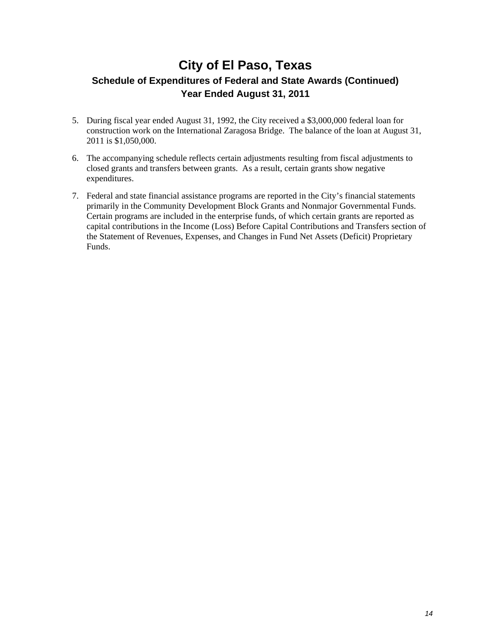- 5. During fiscal year ended August 31, 1992, the City received a \$3,000,000 federal loan for construction work on the International Zaragosa Bridge. The balance of the loan at August 31, 2011 is \$1,050,000.
- 6. The accompanying schedule reflects certain adjustments resulting from fiscal adjustments to closed grants and transfers between grants. As a result, certain grants show negative expenditures.
- 7. Federal and state financial assistance programs are reported in the City's financial statements primarily in the Community Development Block Grants and Nonmajor Governmental Funds. Certain programs are included in the enterprise funds, of which certain grants are reported as capital contributions in the Income (Loss) Before Capital Contributions and Transfers section of the Statement of Revenues, Expenses, and Changes in Fund Net Assets (Deficit) Proprietary Funds.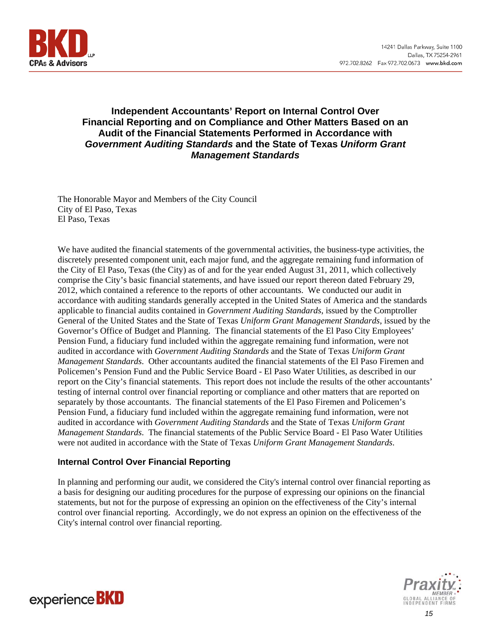

#### **Independent Accountants' Report on Internal Control Over Financial Reporting and on Compliance and Other Matters Based on an Audit of the Financial Statements Performed in Accordance with**  *Government Auditing Standards* **and the State of Texas** *Uniform Grant Management Standards*

The Honorable Mayor and Members of the City Council City of El Paso, Texas El Paso, Texas

We have audited the financial statements of the governmental activities, the business-type activities, the discretely presented component unit, each major fund, and the aggregate remaining fund information of the City of El Paso, Texas (the City) as of and for the year ended August 31, 2011, which collectively comprise the City's basic financial statements, and have issued our report thereon dated February 29, 2012, which contained a reference to the reports of other accountants. We conducted our audit in accordance with auditing standards generally accepted in the United States of America and the standards applicable to financial audits contained in *Government Auditing Standards*, issued by the Comptroller General of the United States and the State of Texas *Uniform Grant Management Standards*, issued by the Governor's Office of Budget and Planning. The financial statements of the El Paso City Employees' Pension Fund, a fiduciary fund included within the aggregate remaining fund information, were not audited in accordance with *Government Auditing Standards* and the State of Texas *Uniform Grant Management Standards*. Other accountants audited the financial statements of the El Paso Firemen and Policemen's Pension Fund and the Public Service Board - El Paso Water Utilities, as described in our report on the City's financial statements. This report does not include the results of the other accountants' testing of internal control over financial reporting or compliance and other matters that are reported on separately by those accountants. The financial statements of the El Paso Firemen and Policemen's Pension Fund, a fiduciary fund included within the aggregate remaining fund information, were not audited in accordance with *Government Auditing Standards* and the State of Texas *Uniform Grant Management Standards*. The financial statements of the Public Service Board - El Paso Water Utilities were not audited in accordance with the State of Texas *Uniform Grant Management Standards*.

#### **Internal Control Over Financial Reporting**

In planning and performing our audit, we considered the City's internal control over financial reporting as a basis for designing our auditing procedures for the purpose of expressing our opinions on the financial statements, but not for the purpose of expressing an opinion on the effectiveness of the City's internal control over financial reporting. Accordingly, we do not express an opinion on the effectiveness of the City's internal control over financial reporting.

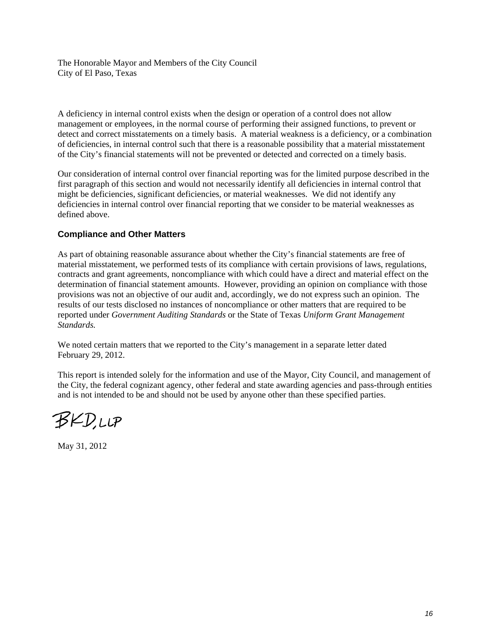The Honorable Mayor and Members of the City Council City of El Paso, Texas

A deficiency in internal control exists when the design or operation of a control does not allow management or employees, in the normal course of performing their assigned functions, to prevent or detect and correct misstatements on a timely basis. A material weakness is a deficiency, or a combination of deficiencies, in internal control such that there is a reasonable possibility that a material misstatement of the City's financial statements will not be prevented or detected and corrected on a timely basis.

Our consideration of internal control over financial reporting was for the limited purpose described in the first paragraph of this section and would not necessarily identify all deficiencies in internal control that might be deficiencies, significant deficiencies, or material weaknesses. We did not identify any deficiencies in internal control over financial reporting that we consider to be material weaknesses as defined above.

#### **Compliance and Other Matters**

As part of obtaining reasonable assurance about whether the City's financial statements are free of material misstatement, we performed tests of its compliance with certain provisions of laws, regulations, contracts and grant agreements, noncompliance with which could have a direct and material effect on the determination of financial statement amounts. However, providing an opinion on compliance with those provisions was not an objective of our audit and, accordingly, we do not express such an opinion. The results of our tests disclosed no instances of noncompliance or other matters that are required to be reported under *Government Auditing Standards* or the State of Texas *Uniform Grant Management Standards.*

We noted certain matters that we reported to the City's management in a separate letter dated February 29, 2012.

This report is intended solely for the information and use of the Mayor, City Council, and management of the City, the federal cognizant agency, other federal and state awarding agencies and pass-through entities and is not intended to be and should not be used by anyone other than these specified parties.

BKD,LLP

May 31, 2012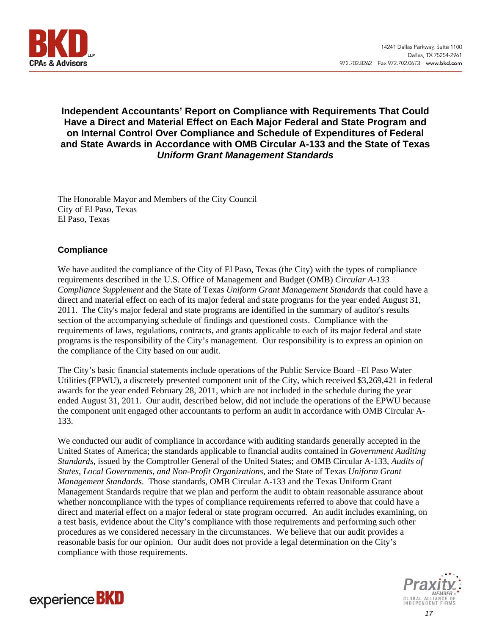

#### **Independent Accountants' Report on Compliance with Requirements That Could Have a Direct and Material Effect on Each Major Federal and State Program and on Internal Control Over Compliance and Schedule of Expenditures of Federal and State Awards in Accordance with OMB Circular A-133 and the State of Texas**  *Uniform Grant Management Standards*

The Honorable Mayor and Members of the City Council City of El Paso, Texas El Paso, Texas

#### **Compliance**

We have audited the compliance of the City of El Paso, Texas (the City) with the types of compliance requirements described in the U.S. Office of Management and Budget (OMB) *Circular A-133 Compliance Supplement* and the State of Texas *Uniform Grant Management Standards* that could have a direct and material effect on each of its major federal and state programs for the year ended August 31, 2011. The City's major federal and state programs are identified in the summary of auditor's results section of the accompanying schedule of findings and questioned costs. Compliance with the requirements of laws, regulations, contracts, and grants applicable to each of its major federal and state programs is the responsibility of the City's management. Our responsibility is to express an opinion on the compliance of the City based on our audit.

The City's basic financial statements include operations of the Public Service Board –El Paso Water Utilities (EPWU), a discretely presented component unit of the City, which received \$3,269,421 in federal awards for the year ended February 28, 2011, which are not included in the schedule during the year ended August 31, 2011. Our audit, described below, did not include the operations of the EPWU because the component unit engaged other accountants to perform an audit in accordance with OMB Circular A-133.

We conducted our audit of compliance in accordance with auditing standards generally accepted in the United States of America; the standards applicable to financial audits contained in *Government Auditing Standards*, issued by the Comptroller General of the United States; and OMB Circular A-133, *Audits of States, Local Governments, and Non-Profit Organizations*, and the State of Texas *Uniform Grant Management Standards*. Those standards, OMB Circular A-133 and the Texas Uniform Grant Management Standards require that we plan and perform the audit to obtain reasonable assurance about whether noncompliance with the types of compliance requirements referred to above that could have a direct and material effect on a major federal or state program occurred. An audit includes examining, on a test basis, evidence about the City's compliance with those requirements and performing such other procedures as we considered necessary in the circumstances. We believe that our audit provides a reasonable basis for our opinion. Our audit does not provide a legal determination on the City's compliance with those requirements.

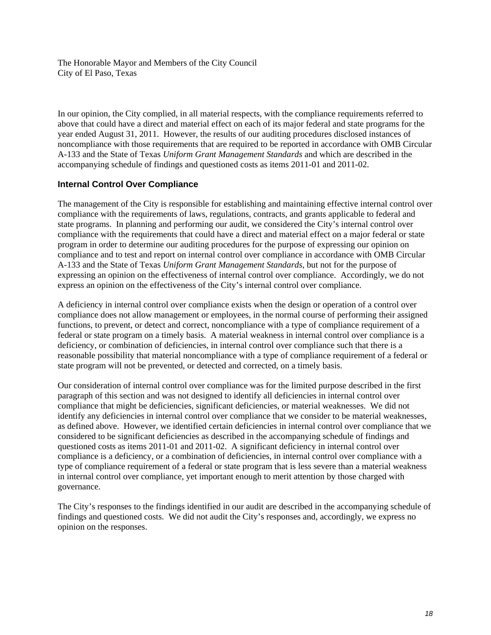The Honorable Mayor and Members of the City Council City of El Paso, Texas

In our opinion, the City complied, in all material respects, with the compliance requirements referred to above that could have a direct and material effect on each of its major federal and state programs for the year ended August 31, 2011. However, the results of our auditing procedures disclosed instances of noncompliance with those requirements that are required to be reported in accordance with OMB Circular A-133 and the State of Texas *Uniform Grant Management Standards* and which are described in the accompanying schedule of findings and questioned costs as items 2011-01 and 2011-02.

#### **Internal Control Over Compliance**

The management of the City is responsible for establishing and maintaining effective internal control over compliance with the requirements of laws, regulations, contracts, and grants applicable to federal and state programs. In planning and performing our audit, we considered the City's internal control over compliance with the requirements that could have a direct and material effect on a major federal or state program in order to determine our auditing procedures for the purpose of expressing our opinion on compliance and to test and report on internal control over compliance in accordance with OMB Circular A-133 and the State of Texas *Uniform Grant Management Standards*, but not for the purpose of expressing an opinion on the effectiveness of internal control over compliance. Accordingly, we do not express an opinion on the effectiveness of the City's internal control over compliance.

A deficiency in internal control over compliance exists when the design or operation of a control over compliance does not allow management or employees, in the normal course of performing their assigned functions, to prevent, or detect and correct, noncompliance with a type of compliance requirement of a federal or state program on a timely basis. A material weakness in internal control over compliance is a deficiency, or combination of deficiencies, in internal control over compliance such that there is a reasonable possibility that material noncompliance with a type of compliance requirement of a federal or state program will not be prevented, or detected and corrected, on a timely basis.

Our consideration of internal control over compliance was for the limited purpose described in the first paragraph of this section and was not designed to identify all deficiencies in internal control over compliance that might be deficiencies, significant deficiencies, or material weaknesses. We did not identify any deficiencies in internal control over compliance that we consider to be material weaknesses, as defined above. However, we identified certain deficiencies in internal control over compliance that we considered to be significant deficiencies as described in the accompanying schedule of findings and questioned costs as items 2011-01 and 2011-02. A significant deficiency in internal control over compliance is a deficiency, or a combination of deficiencies, in internal control over compliance with a type of compliance requirement of a federal or state program that is less severe than a material weakness in internal control over compliance, yet important enough to merit attention by those charged with governance.

The City's responses to the findings identified in our audit are described in the accompanying schedule of findings and questioned costs. We did not audit the City's responses and, accordingly, we express no opinion on the responses.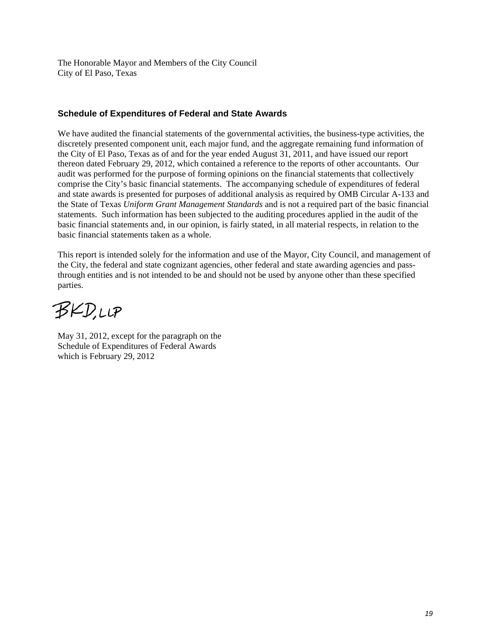The Honorable Mayor and Members of the City Council City of El Paso, Texas

#### **Schedule of Expenditures of Federal and State Awards**

We have audited the financial statements of the governmental activities, the business-type activities, the discretely presented component unit, each major fund, and the aggregate remaining fund information of the City of El Paso, Texas as of and for the year ended August 31, 2011, and have issued our report thereon dated February 29, 2012, which contained a reference to the reports of other accountants. Our audit was performed for the purpose of forming opinions on the financial statements that collectively comprise the City's basic financial statements. The accompanying schedule of expenditures of federal and state awards is presented for purposes of additional analysis as required by OMB Circular A-133 and the State of Texas *Uniform Grant Management Standards* and is not a required part of the basic financial statements. Such information has been subjected to the auditing procedures applied in the audit of the basic financial statements and, in our opinion, is fairly stated, in all material respects, in relation to the basic financial statements taken as a whole.

This report is intended solely for the information and use of the Mayor, City Council, and management of the City, the federal and state cognizant agencies, other federal and state awarding agencies and passthrough entities and is not intended to be and should not be used by anyone other than these specified parties.

BKDUP

May 31, 2012, except for the paragraph on the Schedule of Expenditures of Federal Awards which is February 29, 2012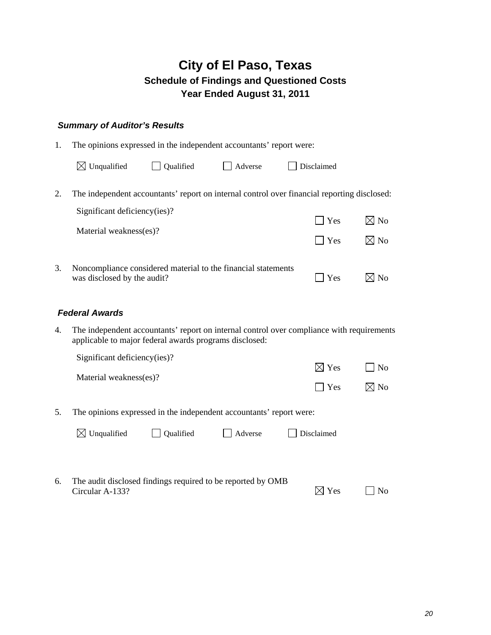#### *Summary of Auditor's Results*

| 1. | The opinions expressed in the independent accountants' report were:                                                         |           |         |            |                |
|----|-----------------------------------------------------------------------------------------------------------------------------|-----------|---------|------------|----------------|
|    | $\boxtimes$ Unqualified                                                                                                     | Qualified | Adverse | Disclaimed |                |
| 2. | The independent accountants' report on internal control over financial reporting disclosed:<br>Significant deficiency(ies)? |           |         | $\Box$ Yes | $\boxtimes$ No |
| 3. | Material weakness(es)?                                                                                                      |           |         | l Yes      | $\boxtimes$ No |
|    | Noncompliance considered material to the financial statements<br>was disclosed by the audit?                                |           |         | Yes        |                |

#### *Federal Awards*

4. The independent accountants' report on internal control over compliance with requirements applicable to major federal awards programs disclosed:

|            | $\Box$ No       |
|------------|-----------------|
|            |                 |
| $\Box$ Yes | $\boxtimes$ No  |
|            | $\boxtimes$ Yes |

5. The opinions expressed in the independent accountants' report were:

| $\boxtimes$ Unqualified | Qualified | $\Box$ Adverse | $\Box$ Disclaimed |
|-------------------------|-----------|----------------|-------------------|
|-------------------------|-----------|----------------|-------------------|

6. The audit disclosed findings required to be reported by OMB Circular A-133?  $\boxtimes$  Yes  $\Box$  No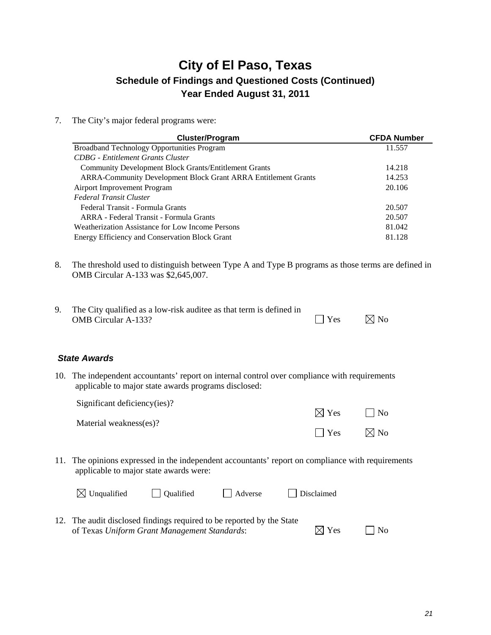7. The City's major federal programs were:

| Cluster/Program                                                       | <b>CFDA Number</b> |
|-----------------------------------------------------------------------|--------------------|
| <b>Broadband Technology Opportunities Program</b>                     | 11.557             |
| <b>CDBG</b> - Entitlement Grants Cluster                              |                    |
| <b>Community Development Block Grants/Entitlement Grants</b>          | 14.218             |
| <b>ARRA-Community Development Block Grant ARRA Entitlement Grants</b> | 14.253             |
| Airport Improvement Program                                           | 20.106             |
| Federal Transit Cluster                                               |                    |
| Federal Transit - Formula Grants                                      | 20.507             |
| ARRA - Federal Transit - Formula Grants                               | 20.507             |
| Weatherization Assistance for Low Income Persons                      | 81.042             |
| Energy Efficiency and Conservation Block Grant                        | 81.128             |

- 8. The threshold used to distinguish between Type A and Type B programs as those terms are defined in OMB Circular A-133 was \$2,645,007.
- 9. The City qualified as a low-risk auditee as that term is defined in OMB Circular A-133?  $\Box$  Yes  $\Box$  No

#### *State Awards*

10. The independent accountants' report on internal control over compliance with requirements applicable to major state awards programs disclosed:

Significant deficiency(ies)?

Material weakness(es)?

| . .        | .              |
|------------|----------------|
| $\Box$ Yes | $\boxtimes$ No |

 $\nabla Y$ es  $\nabla N_0$ 

11. The opinions expressed in the independent accountants' report on compliance with requirements applicable to major state awards were:

| $\boxtimes$ Unqualified                                               | <b>Oualified</b> | Adverse | $\Box$ Disclaimed |                 |           |
|-----------------------------------------------------------------------|------------------|---------|-------------------|-----------------|-----------|
| 12. The audit disclosed findings required to be reported by the State |                  |         |                   |                 |           |
| of Texas Uniform Grant Management Standards:                          |                  |         |                   | $\boxtimes$ Yes | $\Box$ No |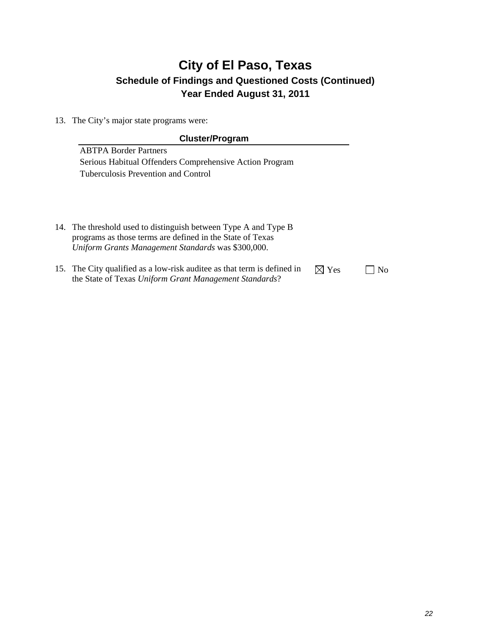13. The City's major state programs were:

#### **Cluster/Program**

ABTPA Border Partners Serious Habitual Offenders Comprehensive Action Program Tuberculosis Prevention and Control

- 14. The threshold used to distinguish between Type A and Type B programs as those terms are defined in the State of Texas *Uniform Grants Management Standards* was \$300,000.
- 15. The City qualified as a low-risk auditee as that term is defined in the State of Texas *Uniform Grant Management Standards*?  $\boxtimes$  Yes  $\Box$  No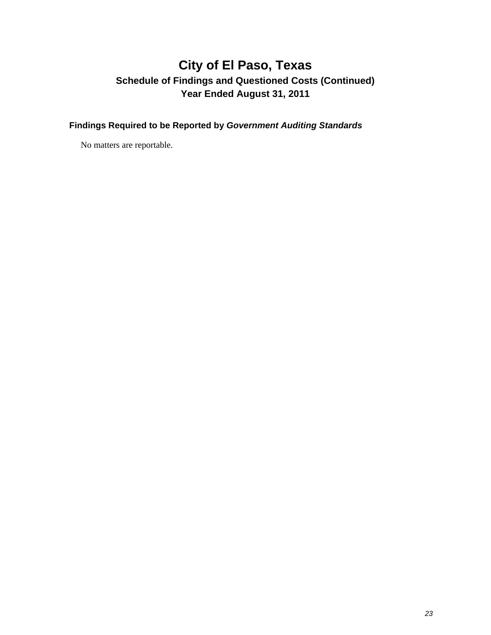**Findings Required to be Reported by** *Government Auditing Standards* 

No matters are reportable.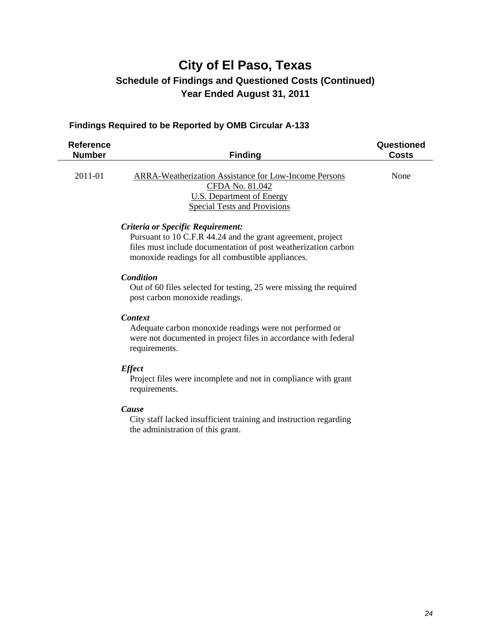#### **Findings Required to be Reported by OMB Circular A-133**

| <b>Reference</b><br><b>Number</b> | <b>Finding</b>                                                                                                                                                                                                          | Questioned<br><b>Costs</b> |
|-----------------------------------|-------------------------------------------------------------------------------------------------------------------------------------------------------------------------------------------------------------------------|----------------------------|
| 2011-01                           | <b>ARRA-Weatherization Assistance for Low-Income Persons</b><br>CFDA No. 81.042<br><b>U.S. Department of Energy</b><br><b>Special Tests and Provisions</b>                                                              | None                       |
|                                   | Criteria or Specific Requirement:<br>Pursuant to 10 C.F.R 44.24 and the grant agreement, project<br>files must include documentation of post weatherization carbon<br>monoxide readings for all combustible appliances. |                            |
|                                   | <b>Condition</b><br>Out of 60 files selected for testing, 25 were missing the required<br>post carbon monoxide readings.                                                                                                |                            |
|                                   | <b>Context</b><br>Adequate carbon monoxide readings were not performed or<br>were not documented in project files in accordance with federal<br>requirements.                                                           |                            |
|                                   | <b>Effect</b><br>Project files were incomplete and not in compliance with grant<br>requirements.                                                                                                                        |                            |
|                                   | Cause<br>City staff lacked insufficient training and instruction regarding<br>the administration of this grant.                                                                                                         |                            |
|                                   |                                                                                                                                                                                                                         |                            |
|                                   |                                                                                                                                                                                                                         |                            |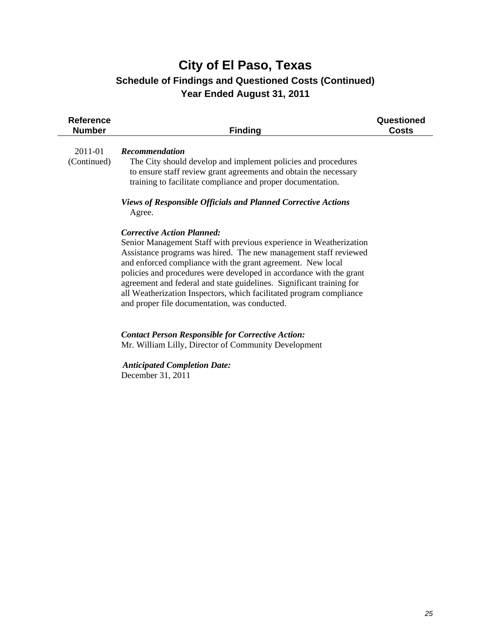| <b>Recommendation</b><br>The City should develop and implement policies and procedures                                                                                                                                                                                                                                                                                                                                                                                                                                      |  |
|-----------------------------------------------------------------------------------------------------------------------------------------------------------------------------------------------------------------------------------------------------------------------------------------------------------------------------------------------------------------------------------------------------------------------------------------------------------------------------------------------------------------------------|--|
| to ensure staff review grant agreements and obtain the necessary<br>training to facilitate compliance and proper documentation.<br><b>Views of Responsible Officials and Planned Corrective Actions</b>                                                                                                                                                                                                                                                                                                                     |  |
| Agree.<br><b>Corrective Action Planned:</b><br>Senior Management Staff with previous experience in Weatherization<br>Assistance programs was hired. The new management staff reviewed<br>and enforced compliance with the grant agreement. New local<br>policies and procedures were developed in accordance with the grant<br>agreement and federal and state guidelines. Significant training for<br>all Weatherization Inspectors, which facilitated program compliance<br>and proper file documentation, was conducted. |  |
| <b>Contact Person Responsible for Corrective Action:</b><br>Mr. William Lilly, Director of Community Development<br><b>Anticipated Completion Date:</b><br>December 31, 2011                                                                                                                                                                                                                                                                                                                                                |  |
|                                                                                                                                                                                                                                                                                                                                                                                                                                                                                                                             |  |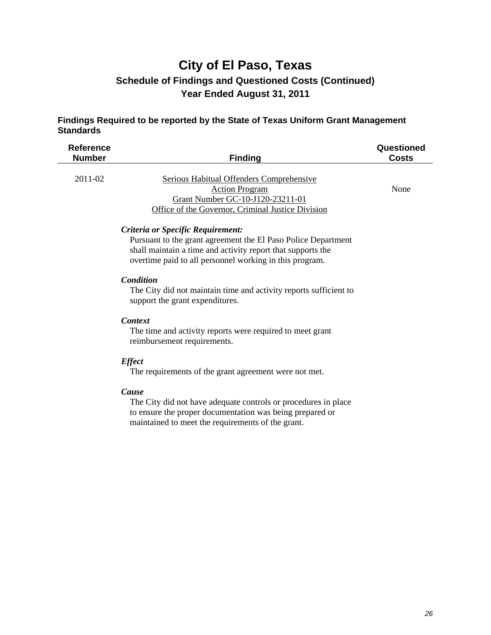#### **Findings Required to be reported by the State of Texas Uniform Grant Management Standards**

| <b>Reference</b><br><b>Number</b> | <b>Finding</b>                                                                                                                                             | Questioned<br><b>Costs</b> |
|-----------------------------------|------------------------------------------------------------------------------------------------------------------------------------------------------------|----------------------------|
| $2011 - 02$                       | Serious Habitual Offenders Comprehensive<br><b>Action Program</b><br>Grant Number GC-10-J120-23211-01<br>Office of the Governor, Criminal Justice Division | None                       |

#### *Criteria or Specific Requirement:*

 Pursuant to the grant agreement the El Paso Police Department shall maintain a time and activity report that supports the overtime paid to all personnel working in this program.

#### *Condition*

 The City did not maintain time and activity reports sufficient to support the grant expenditures.

#### *Context*

 The time and activity reports were required to meet grant reimbursement requirements.

#### *Effect*

The requirements of the grant agreement were not met.

#### *Cause*

 The City did not have adequate controls or procedures in place to ensure the proper documentation was being prepared or maintained to meet the requirements of the grant.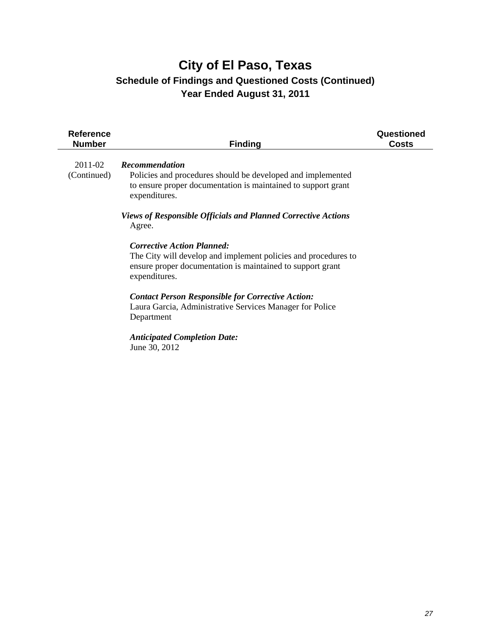| <b>Reference</b><br><b>Number</b> | <b>Finding</b>                                                                                                                                                                                                                                                                                                                                                                                                                                                                                                                                                                       | Questioned<br>Costs |
|-----------------------------------|--------------------------------------------------------------------------------------------------------------------------------------------------------------------------------------------------------------------------------------------------------------------------------------------------------------------------------------------------------------------------------------------------------------------------------------------------------------------------------------------------------------------------------------------------------------------------------------|---------------------|
| 2011-02<br>(Continued)            | <b>Recommendation</b><br>Policies and procedures should be developed and implemented<br>to ensure proper documentation is maintained to support grant<br>expenditures.<br><b>Views of Responsible Officials and Planned Corrective Actions</b><br>Agree.<br><b>Corrective Action Planned:</b><br>The City will develop and implement policies and procedures to<br>ensure proper documentation is maintained to support grant<br>expenditures.<br><b>Contact Person Responsible for Corrective Action:</b><br>Laura Garcia, Administrative Services Manager for Police<br>Department |                     |
|                                   | <b>Anticipated Completion Date:</b><br>June 30, 2012                                                                                                                                                                                                                                                                                                                                                                                                                                                                                                                                 |                     |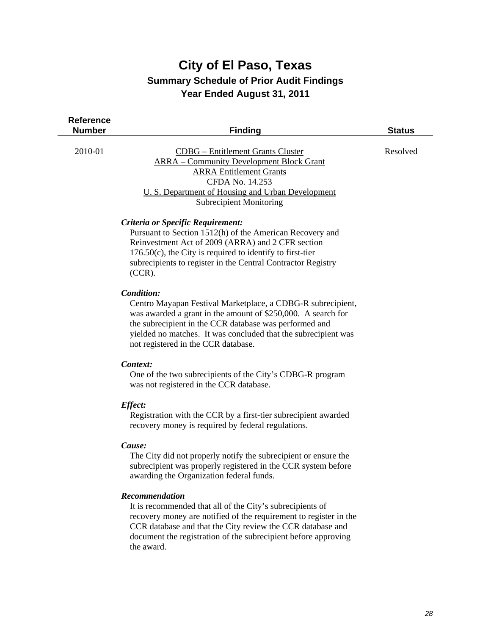| Reference<br><b>Number</b> | <b>Finding</b>                                                                                                                                                                                                                                                                                               | <b>Status</b> |
|----------------------------|--------------------------------------------------------------------------------------------------------------------------------------------------------------------------------------------------------------------------------------------------------------------------------------------------------------|---------------|
| 2010-01                    | <b>CDBG</b> - Entitlement Grants Cluster<br><b>ARRA</b> – Community Development Block Grant<br><b>ARRA Entitlement Grants</b><br>CFDA No. 14.253<br>U. S. Department of Housing and Urban Development<br><b>Subrecipient Monitoring</b>                                                                      | Resolved      |
|                            | Criteria or Specific Requirement:<br>Pursuant to Section 1512(h) of the American Recovery and<br>Reinvestment Act of 2009 (ARRA) and 2 CFR section<br>$176.50(c)$ , the City is required to identify to first-tier<br>subrecipients to register in the Central Contractor Registry<br>$(CCR)$ .              |               |
|                            | Condition:<br>Centro Mayapan Festival Marketplace, a CDBG-R subrecipient,<br>was awarded a grant in the amount of \$250,000. A search for<br>the subrecipient in the CCR database was performed and<br>yielded no matches. It was concluded that the subrecipient was<br>not registered in the CCR database. |               |
|                            | Context:<br>One of the two subrecipients of the City's CDBG-R program<br>was not registered in the CCR database.                                                                                                                                                                                             |               |
|                            | <b>Effect:</b><br>Registration with the CCR by a first-tier subrecipient awarded<br>recovery money is required by federal regulations.                                                                                                                                                                       |               |
|                            | Cause:<br>The City did not properly notify the subrecipient or ensure the                                                                                                                                                                                                                                    |               |

subrecipient was properly registered in the CCR system before awarding the Organization federal funds.

#### *Recommendation*

 It is recommended that all of the City's subrecipients of recovery money are notified of the requirement to register in the CCR database and that the City review the CCR database and document the registration of the subrecipient before approving the award.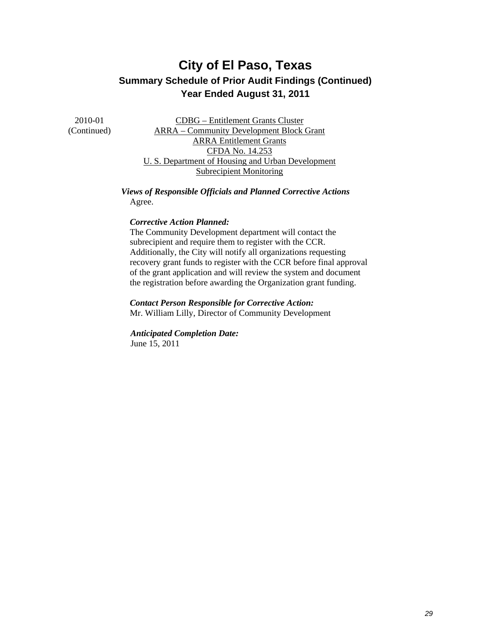2010-01 (Continued)

CDBG – Entitlement Grants Cluster ARRA – Community Development Block Grant ARRA Entitlement Grants CFDA No. 14.253 U. S. Department of Housing and Urban Development Subrecipient Monitoring

*Views of Responsible Officials and Planned Corrective Actions*  Agree.

#### *Corrective Action Planned:*

 The Community Development department will contact the subrecipient and require them to register with the CCR. Additionally, the City will notify all organizations requesting recovery grant funds to register with the CCR before final approval of the grant application and will review the system and document the registration before awarding the Organization grant funding.

#### *Contact Person Responsible for Corrective Action:*

Mr. William Lilly, Director of Community Development

 *Anticipated Completion Date:*  June 15, 2011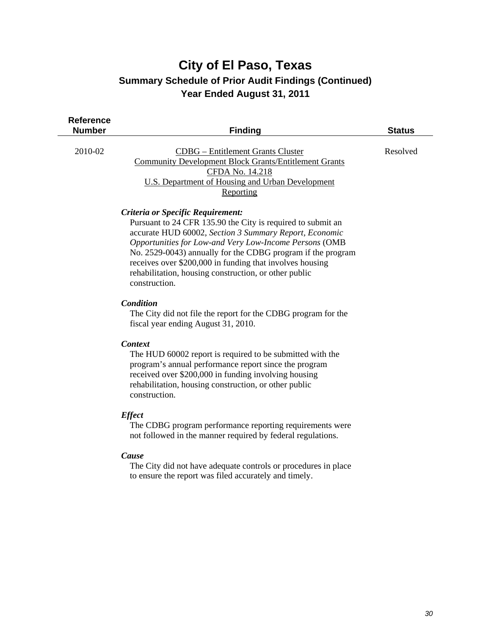| <b>Reference</b><br><b>Number</b> | <b>Finding</b>                                                                                                                                                                                                                                                                                                                                                                                                            | <b>Status</b> |
|-----------------------------------|---------------------------------------------------------------------------------------------------------------------------------------------------------------------------------------------------------------------------------------------------------------------------------------------------------------------------------------------------------------------------------------------------------------------------|---------------|
| 2010-02                           | <b>CDBG</b> – Entitlement Grants Cluster<br><b>Community Development Block Grants/Entitlement Grants</b><br>CFDA No. 14.218<br><b>U.S. Department of Housing and Urban Development</b><br>Reporting                                                                                                                                                                                                                       | Resolved      |
|                                   | Criteria or Specific Requirement:<br>Pursuant to 24 CFR 135.90 the City is required to submit an<br>accurate HUD 60002, Section 3 Summary Report, Economic<br>Opportunities for Low-and Very Low-Income Persons (OMB<br>No. 2529-0043) annually for the CDBG program if the program<br>receives over \$200,000 in funding that involves housing<br>rehabilitation, housing construction, or other public<br>construction. |               |
|                                   | <b>Condition</b><br>The City did not file the report for the CDBG program for the<br>fiscal year ending August 31, 2010.                                                                                                                                                                                                                                                                                                  |               |
|                                   | <b>Context</b><br>The HUD 60002 report is required to be submitted with the<br>program's annual performance report since the program<br>received over \$200,000 in funding involving housing<br>rehabilitation, housing construction, or other public<br>construction.                                                                                                                                                    |               |
|                                   | <b>Effect</b><br>The CDBG program performance reporting requirements were                                                                                                                                                                                                                                                                                                                                                 |               |

not followed in the manner required by federal regulations.

#### *Cause*

 The City did not have adequate controls or procedures in place to ensure the report was filed accurately and timely.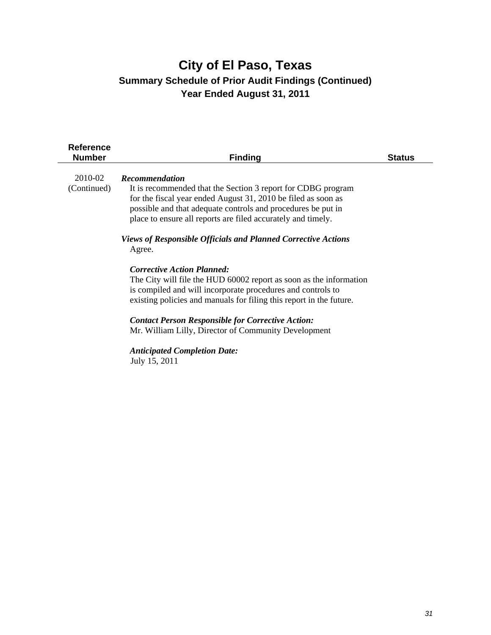| <b>Reference</b><br><b>Number</b> | <b>Finding</b>                                                                                                                                                                                                                                                                                                                                                                                                                                                                                                                                                                                                                                                                                                                                                                                        | <b>Status</b> |
|-----------------------------------|-------------------------------------------------------------------------------------------------------------------------------------------------------------------------------------------------------------------------------------------------------------------------------------------------------------------------------------------------------------------------------------------------------------------------------------------------------------------------------------------------------------------------------------------------------------------------------------------------------------------------------------------------------------------------------------------------------------------------------------------------------------------------------------------------------|---------------|
| 2010-02<br>(Continued)            | <b>Recommendation</b><br>It is recommended that the Section 3 report for CDBG program<br>for the fiscal year ended August 31, 2010 be filed as soon as<br>possible and that adequate controls and procedures be put in<br>place to ensure all reports are filed accurately and timely.<br><b>Views of Responsible Officials and Planned Corrective Actions</b><br>Agree.<br><b>Corrective Action Planned:</b><br>The City will file the HUD 60002 report as soon as the information<br>is compiled and will incorporate procedures and controls to<br>existing policies and manuals for filing this report in the future.<br><b>Contact Person Responsible for Corrective Action:</b><br>Mr. William Lilly, Director of Community Development<br><b>Anticipated Completion Date:</b><br>July 15, 2011 |               |
|                                   |                                                                                                                                                                                                                                                                                                                                                                                                                                                                                                                                                                                                                                                                                                                                                                                                       |               |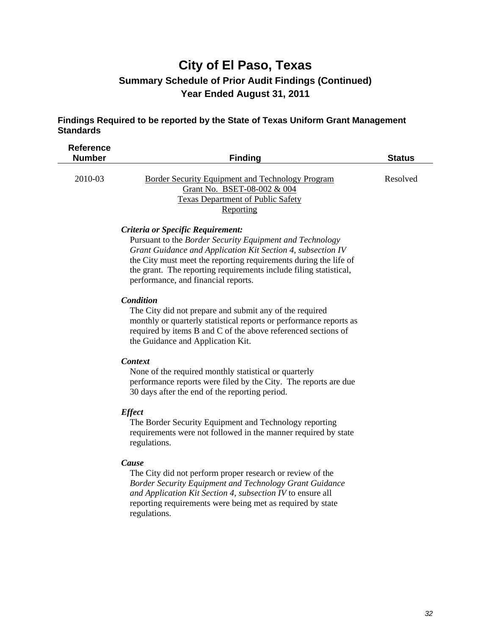#### **Findings Required to be reported by the State of Texas Uniform Grant Management Standards**

| <b>Reference</b><br><b>Number</b> | <b>Finding</b>                                                                                                                    | <b>Status</b> |
|-----------------------------------|-----------------------------------------------------------------------------------------------------------------------------------|---------------|
| 2010-03                           | Border Security Equipment and Technology Program<br>Grant No. BSET-08-002 & 004<br>Texas Department of Public Safety<br>Reporting | Resolved      |

#### *Criteria or Specific Requirement:*

 Pursuant to the *Border Security Equipment and Technology Grant Guidance and Application Kit Section 4, subsection IV* the City must meet the reporting requirements during the life of the grant. The reporting requirements include filing statistical, performance, and financial reports.

#### *Condition*

 The City did not prepare and submit any of the required monthly or quarterly statistical reports or performance reports as required by items B and C of the above referenced sections of the Guidance and Application Kit.

#### *Context*

 None of the required monthly statistical or quarterly performance reports were filed by the City. The reports are due 30 days after the end of the reporting period.

#### *Effect*

 The Border Security Equipment and Technology reporting requirements were not followed in the manner required by state regulations.

#### *Cause*

 The City did not perform proper research or review of the *Border Security Equipment and Technology Grant Guidance and Application Kit Section 4, subsection IV* to ensure all reporting requirements were being met as required by state regulations.